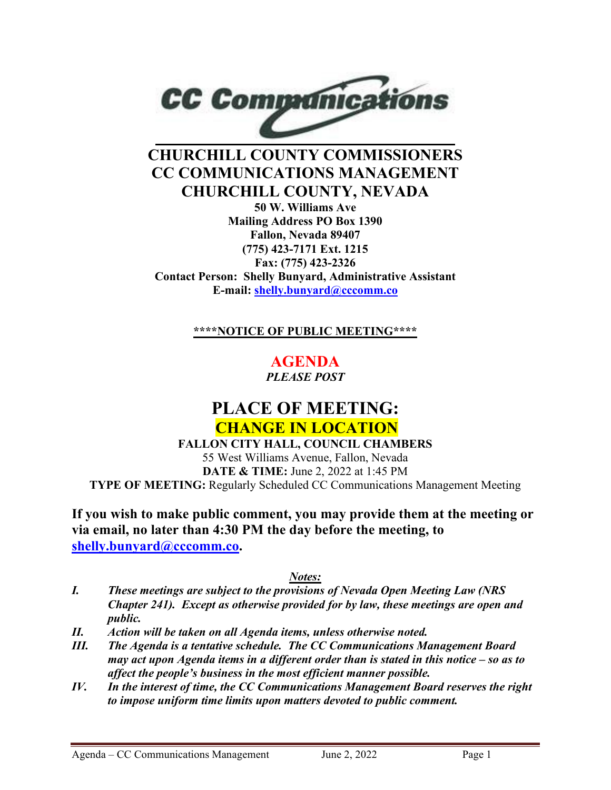

# **CHURCHILL COUNTY COMMISSIONERS CC COMMUNICATIONS MANAGEMENT CHURCHILL COUNTY, NEVADA**

**50 W. Williams Ave Mailing Address PO Box 1390 Fallon, Nevada 89407 (775) 423-7171 Ext. 1215 Fax: (775) 423-2326 Contact Person: Shelly Bunyard, Administrative Assistant E-mail: [shelly.bunyard@cccomm.co](mailto:shelly.bunyard@cccomm.co)**

**\*\*\*\*NOTICE OF PUBLIC MEETING\*\*\*\***

**AGENDA**  *PLEASE POST*

# **PLACE OF MEETING: CHANGE IN LOCATION**

**FALLON CITY HALL, COUNCIL CHAMBERS** 55 West Williams Avenue, Fallon, Nevada **DATE & TIME:** June 2, 2022 at 1:45 PM **TYPE OF MEETING:** Regularly Scheduled CC Communications Management Meeting

**If you wish to make public comment, you may provide them at the meeting or via email, no later than 4:30 PM the day before the meeting, to [shelly.bunyard@cccomm.co.](mailto:shelly.bunyard@cccomm.co)** 

#### *Notes:*

- *I. These meetings are subject to the provisions of Nevada Open Meeting Law (NRS Chapter 241). Except as otherwise provided for by law, these meetings are open and public.*
- *II. Action will be taken on all Agenda items, unless otherwise noted.*
- *III. The Agenda is a tentative schedule. The CC Communications Management Board may act upon Agenda items in a different order than is stated in this notice – so as to affect the people's business in the most efficient manner possible.*
- *IV. In the interest of time, the CC Communications Management Board reserves the right to impose uniform time limits upon matters devoted to public comment.*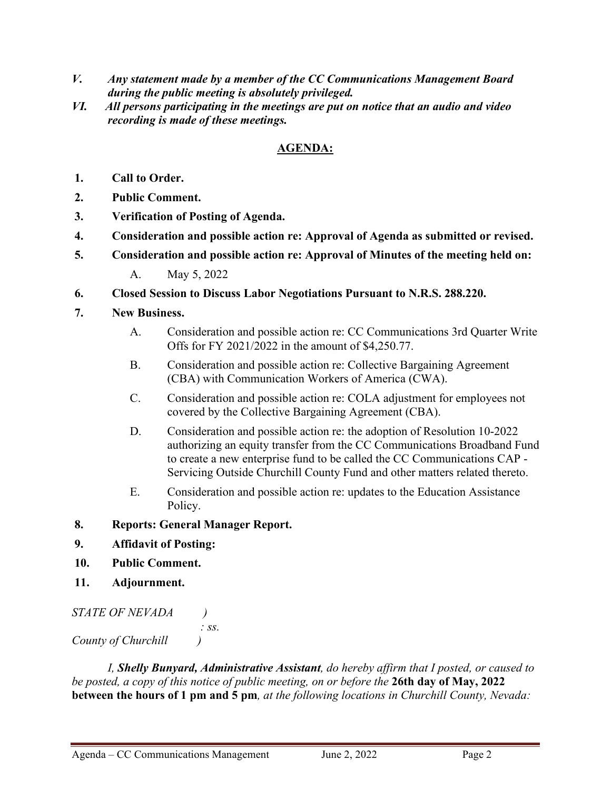- *V. Any statement made by a member of the CC Communications Management Board during the public meeting is absolutely privileged.*
- *VI. All persons participating in the meetings are put on notice that an audio and video recording is made of these meetings.*

## **AGENDA:**

- **1. Call to Order.**
- **2. Public Comment.**
- **3. Verification of Posting of Agenda.**
- **4. Consideration and possible action re: Approval of Agenda as submitted or revised.**
- **5. Consideration and possible action re: Approval of Minutes of the meeting held on:**

A. May 5, 2022

- **6. Closed Session to Discuss Labor Negotiations Pursuant to N.R.S. 288.220.**
- **7. New Business.**
	- A. Consideration and possible action re: CC Communications 3rd Quarter Write Offs for FY 2021/2022 in the amount of \$4,250.77.
	- B. Consideration and possible action re: Collective Bargaining Agreement (CBA) with Communication Workers of America (CWA).
	- C. Consideration and possible action re: COLA adjustment for employees not covered by the Collective Bargaining Agreement (CBA).
	- D. Consideration and possible action re: the adoption of Resolution 10-2022 authorizing an equity transfer from the CC Communications Broadband Fund to create a new enterprise fund to be called the CC Communications CAP - Servicing Outside Churchill County Fund and other matters related thereto.
	- E. Consideration and possible action re: updates to the Education Assistance Policy.

#### **8. Reports: General Manager Report.**

- **9. Affidavit of Posting:**
- **10. Public Comment.**
- **11. Adjournment.**

```
STATE OF NEVADA ) 
                      : ss.
County of Churchill )
```
*I, Shelly Bunyard, Administrative Assistant, do hereby affirm that I posted, or caused to be posted, a copy of this notice of public meeting, on or before the* **26th day of May, 2022 between the hours of 1 pm and 5 pm***, at the following locations in Churchill County, Nevada:*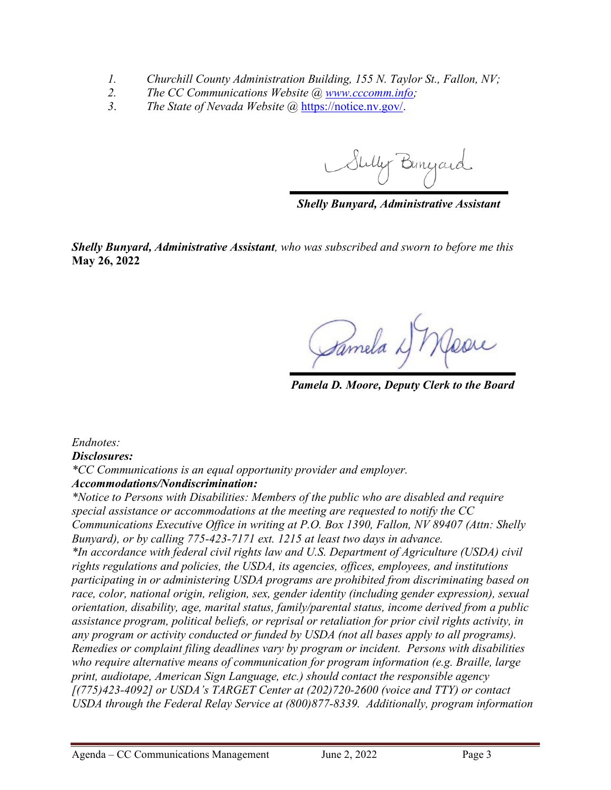- *1. Churchill County Administration Building, 155 N. Taylor St., Fallon, NV;*
- *2. The CC Communications Website @ [www.cccomm.info;](http://www.cccomm.info/)*
- *3*. *The State of Nevada Website @* [https://notice.nv.gov/.](https://notice.nv.gov/)

Stilly Bunyard

*Shelly Bunyard, Administrative Assistant*

*Shelly Bunyard, Administrative Assistant, who was subscribed and sworn to before me this*  **May 26, 2022**

Samela L

*Pamela D. Moore, Deputy Clerk to the Board*

*Endnotes:*

*Disclosures:* 

*\*CC Communications is an equal opportunity provider and employer. Accommodations/Nondiscrimination:* 

*\*Notice to Persons with Disabilities: Members of the public who are disabled and require special assistance or accommodations at the meeting are requested to notify the CC Communications Executive Office in writing at P.O. Box 1390, Fallon, NV 89407 (Attn: Shelly Bunyard), or by calling 775-423-7171 ext. 1215 at least two days in advance. \*In accordance with federal civil rights law and U.S. Department of Agriculture (USDA) civil rights regulations and policies, the USDA, its agencies, offices, employees, and institutions participating in or administering USDA programs are prohibited from discriminating based on race, color, national origin, religion, sex, gender identity (including gender expression), sexual orientation, disability, age, marital status, family/parental status, income derived from a public assistance program, political beliefs, or reprisal or retaliation for prior civil rights activity, in any program or activity conducted or funded by USDA (not all bases apply to all programs). Remedies or complaint filing deadlines vary by program or incident. Persons with disabilities who require alternative means of communication for program information (e.g. Braille, large print, audiotape, American Sign Language, etc.) should contact the responsible agency [(775)423-4092] or USDA's TARGET Center at (202)720-2600 (voice and TTY) or contact USDA through the Federal Relay Service at (800)877-8339. Additionally, program information*